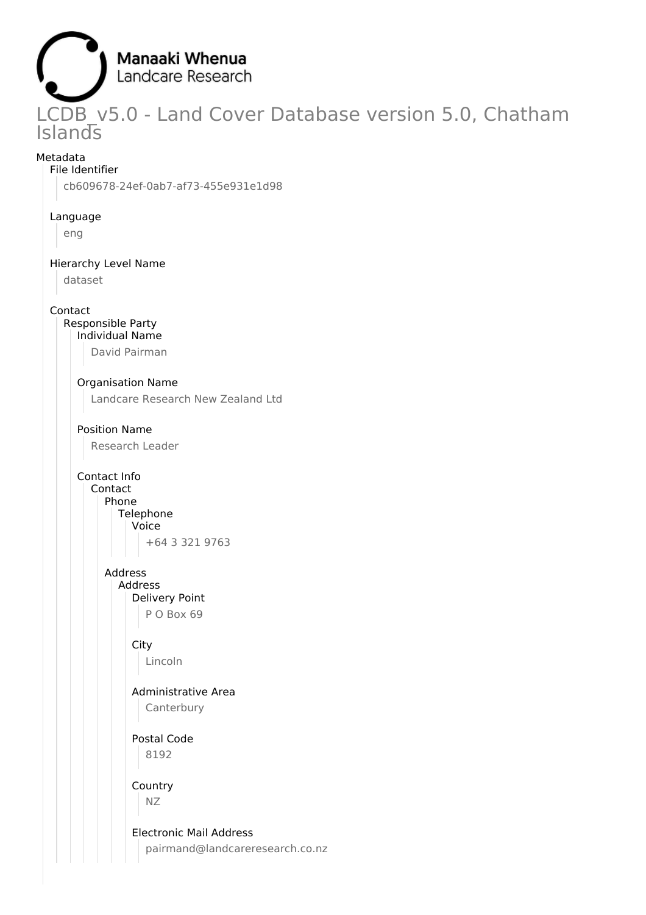

LCDB v5.0 - Land Cover Database version 5.0, Chatham Islands

## Metadata

File Identifier cb609678-24ef-0ab7-af73-455e931e1d98

#### Language

eng

## Hierarchy Level Name

dataset

## Contact

Responsible Party Individual Name

David Pairman

## Organisation Name

Landcare Research New Zealand Ltd

# Position Name

Research Leader

Contact Info

#### Contact Phone Telephone

Voice +64 3 321 9763

## Address Address

Delivery Point P O Box 69

## **City**

Lincoln

## Administrative Area Canterbury

Postal Code 8192

## Country NZ

Electronic Mail Address pairmand@landcareresearch.co.nz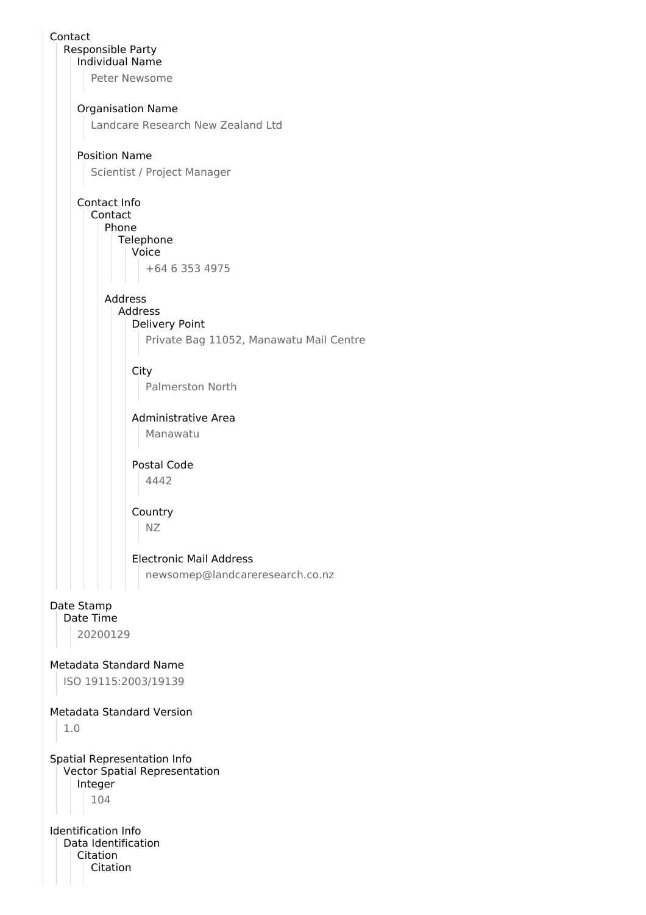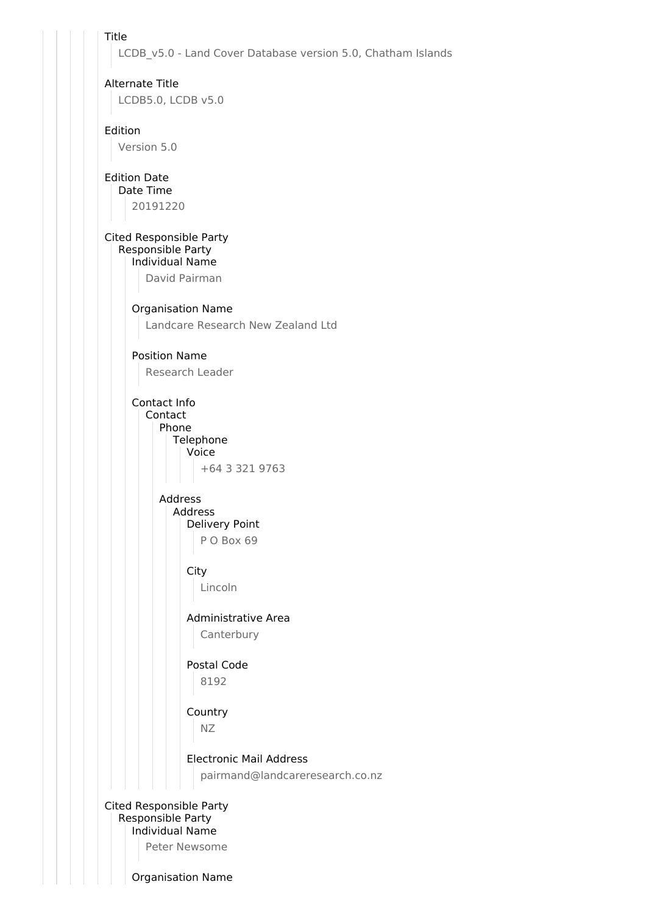Title

LCDB v5.0 - Land Cover Database version 5.0, Chatham Islands

Alternate Title LCDB5.0, LCDB v5.0

Edition

Version 5.0

Edition Date

Date Time

20191220

#### Cited Responsible Party Responsible Party Individual Name

David Pairman

Organisation Name

Landcare Research New Zealand Ltd

Position Name

Research Leader

Contact Info Contact

> Phone Telephone Voice

+64 3 321 9763

Address Address Delivery Point P O Box 69

**City** 

Lincoln

Administrative Area Canterbury

Postal Code 8192

Country

NZ

Electronic Mail Address pairmand@landcareresearch.co.nz

Cited Responsible Party Responsible Party Individual Name Peter Newsome

Organisation Name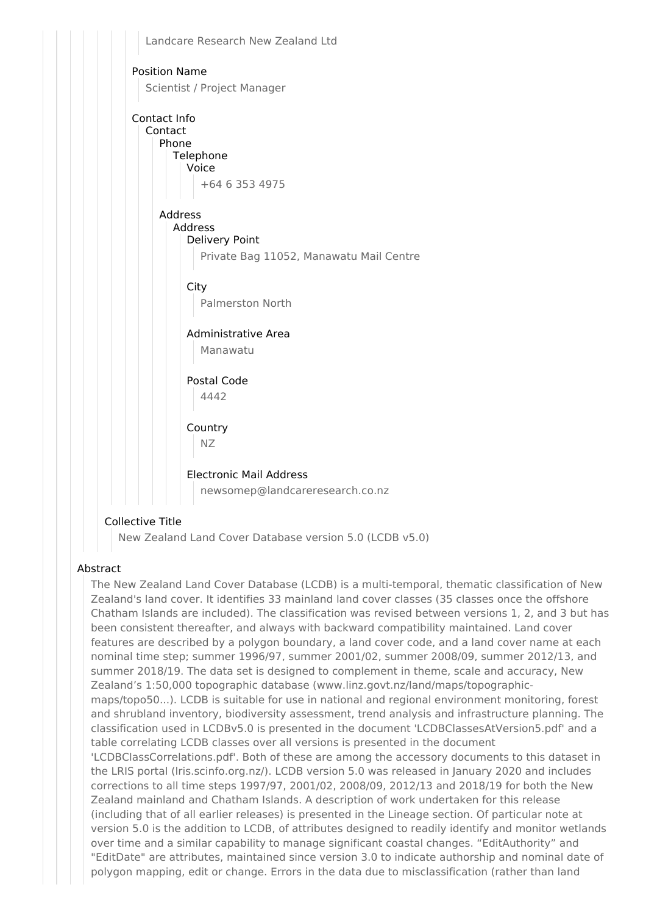

## Collective Title

New Zealand Land Cover Database version 5.0 (LCDB v5.0)

## Abstract

The New Zealand Land Cover Database (LCDB) is a multi-temporal, thematic classification of New Zealand's land cover. It identifies 33 mainland land cover classes (35 classes once the offshore Chatham Islands are included). The classification was revised between versions 1, 2, and 3 but has been consistent thereafter, and always with backward compatibility maintained. Land cover features are described by a polygon boundary, a land cover code, and a land cover name at each nominal time step; summer 1996/97, summer 2001/02, summer 2008/09, summer 2012/13, and summer 2018/19. The data set is designed to complement in theme, scale and accuracy, New Zealand's 1:50,000 topographic database (www.linz.govt.nz/land/maps/topographicmaps/topo50...). LCDB is suitable for use in national and regional environment monitoring, forest and shrubland inventory, biodiversity assessment, trend analysis and infrastructure planning. The classification used in LCDBv5.0 is presented in the document 'LCDBClassesAtVersion5.pdf' and a table correlating LCDB classes over all versions is presented in the document 'LCDBClassCorrelations.pdf'. Both of these are among the accessory documents to this dataset in the LRIS portal (lris.scinfo.org.nz/). LCDB version 5.0 was released in January 2020 and includes corrections to all time steps 1997/97, 2001/02, 2008/09, 2012/13 and 2018/19 for both the New Zealand mainland and Chatham Islands. A description of work undertaken for this release (including that of all earlier releases) is presented in the Lineage section. Of particular note at version 5.0 is the addition to LCDB, of attributes designed to readily identify and monitor wetlands over time and a similar capability to manage significant coastal changes. "EditAuthority" and "EditDate" are attributes, maintained since version 3.0 to indicate authorship and nominal date of polygon mapping, edit or change. Errors in the data due to misclassification (rather than land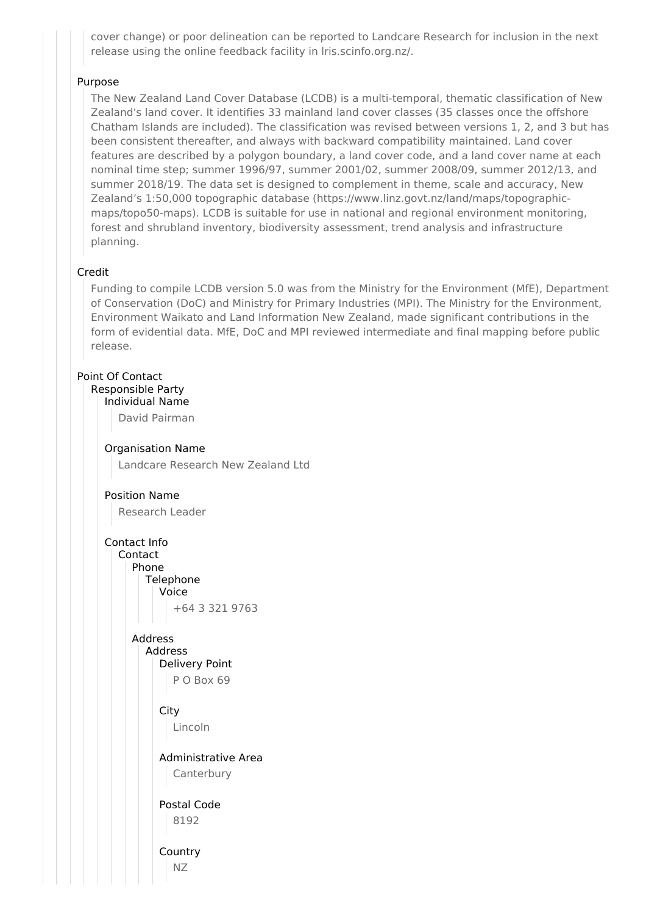cover change) or poor delineation can be reported to Landcare Research for inclusion in the next release using the online feedback facility in lris.scinfo.org.nz/.

## Purpose

The New Zealand Land Cover Database (LCDB) is a multi-temporal, thematic classification of New Zealand's land cover. It identifies 33 mainland land cover classes (35 classes once the offshore Chatham Islands are included). The classification was revised between versions 1, 2, and 3 but has been consistent thereafter, and always with backward compatibility maintained. Land cover features are described by a polygon boundary, a land cover code, and a land cover name at each nominal time step; summer 1996/97, summer 2001/02, summer 2008/09, summer 2012/13, and summer 2018/19. The data set is designed to complement in theme, scale and accuracy, New Zealand's 1:50,000 topographic database (https://www.linz.govt.nz/land/maps/topographicmaps/topo50-maps). LCDB is suitable for use in national and regional environment monitoring, forest and shrubland inventory, biodiversity assessment, trend analysis and infrastructure planning.

## Credit

Funding to compile LCDB version 5.0 was from the Ministry for the Environment (MfE), Department of Conservation (DoC) and Ministry for Primary Industries (MPI). The Ministry for the Environment, Environment Waikato and Land Information New Zealand, made significant contributions in the form of evidential data. MfE, DoC and MPI reviewed intermediate and final mapping before public release.

## Point Of Contact

Responsible Party Individual Name

David Pairman

Organisation Name Landcare Research New Zealand Ltd

## Position Name

Research Leader

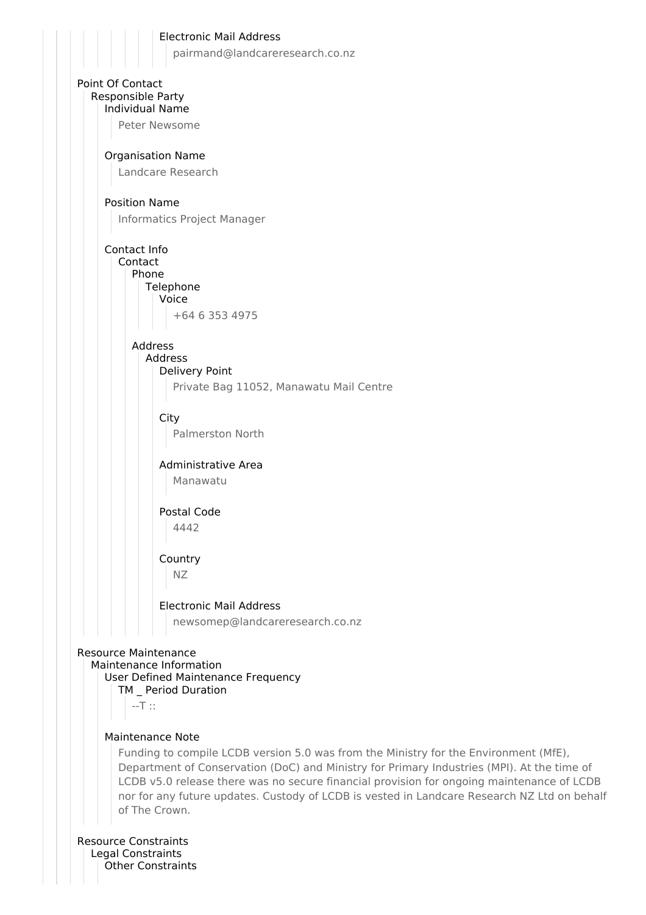

pairmand@landcareresearch.co.nz



## Maintenance Note

Funding to compile LCDB version 5.0 was from the Ministry for the Environment (MfE), Department of Conservation (DoC) and Ministry for Primary Industries (MPI). At the time of LCDB v5.0 release there was no secure financial provision for ongoing maintenance of LCDB nor for any future updates. Custody of LCDB is vested in Landcare Research NZ Ltd on behalf of The Crown.

Resource Constraints Legal Constraints Other Constraints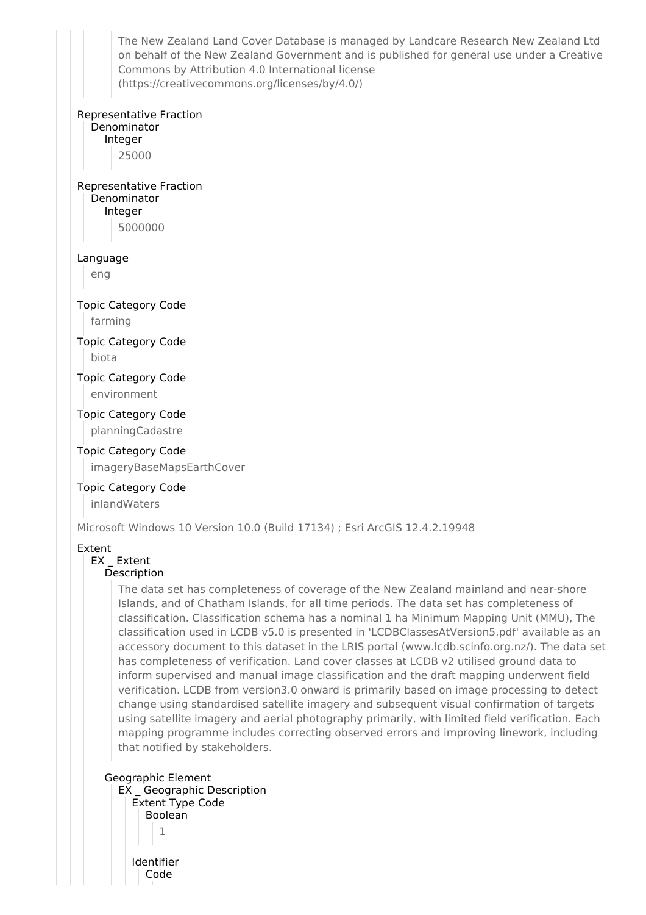The New Zealand Land Cover Database is managed by Landcare Research New Zealand Ltd on behalf of the New Zealand Government and is published for general use under a Creative Commons by Attribution 4.0 International license (https://creativecommons.org/licenses/by/4.0/)

#### Representative Fraction

Denominator Integer 25000

## Representative Fraction Denominator Integer

5000000

#### Language

eng

## Topic Category Code

farming

## Topic Category Code biota

Topic Category Code environment

# Topic Category Code

planningCadastre

## Topic Category Code

imageryBaseMapsEarthCover

## Topic Category Code

inlandWaters

Microsoft Windows 10 Version 10.0 (Build 17134) ; Esri ArcGIS 12.4.2.19948

## Extent

## EX Extent

#### Description

The data set has completeness of coverage of the New Zealand mainland and near-shore Islands, and of Chatham Islands, for all time periods. The data set has completeness of classification. Classification schema has a nominal 1 ha Minimum Mapping Unit (MMU), The classification used in LCDB v5.0 is presented in 'LCDBClassesAtVersion5.pdf' available as an accessory document to this dataset in the LRIS portal (www.lcdb.scinfo.org.nz/). The data set has completeness of verification. Land cover classes at LCDB v2 utilised ground data to inform supervised and manual image classification and the draft mapping underwent field verification. LCDB from version3.0 onward is primarily based on image processing to detect change using standardised satellite imagery and subsequent visual confirmation of targets using satellite imagery and aerial photography primarily, with limited field verification. Each mapping programme includes correcting observed errors and improving linework, including that notified by stakeholders.

## Geographic Element EX \_ Geographic Description Extent Type Code Boolean 1 Identifier Code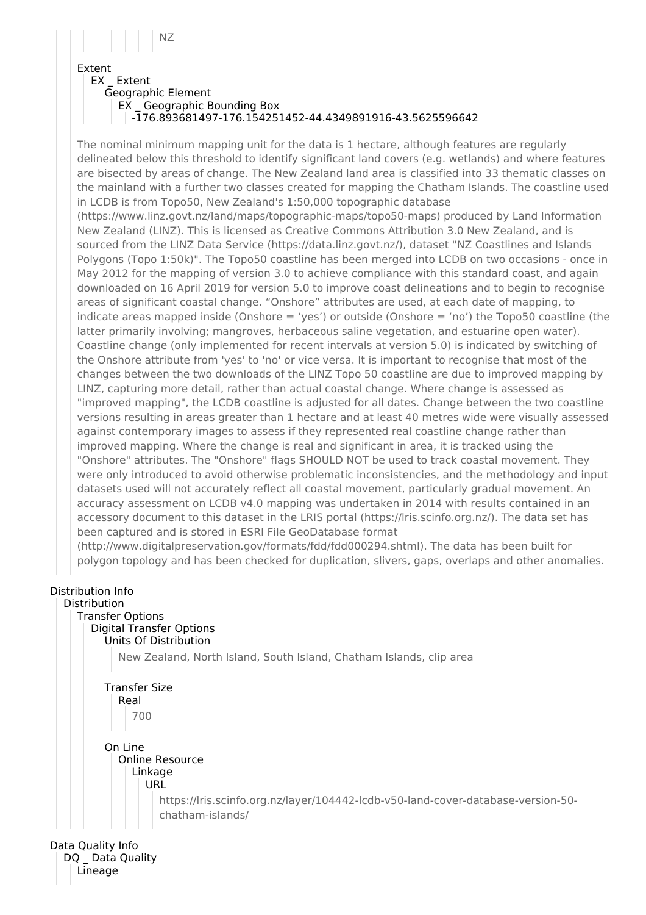# NZ

## Extent

EX Extent

Geographic Element

EX \_ Geographic Bounding Box -176.893681497-176.154251452-44.4349891916-43.5625596642

The nominal minimum mapping unit for the data is 1 hectare, although features are regularly delineated below this threshold to identify significant land covers (e.g. wetlands) and where features are bisected by areas of change. The New Zealand land area is classified into 33 thematic classes on the mainland with a further two classes created for mapping the Chatham Islands. The coastline used in LCDB is from Topo50, New Zealand's 1:50,000 topographic database (https://www.linz.govt.nz/land/maps/topographic-maps/topo50-maps) produced by Land Information New Zealand (LINZ). This is licensed as Creative Commons Attribution 3.0 New Zealand, and is sourced from the LINZ Data Service (https://data.linz.govt.nz/), dataset "NZ Coastlines and Islands Polygons (Topo 1:50k)". The Topo50 coastline has been merged into LCDB on two occasions - once in May 2012 for the mapping of version 3.0 to achieve compliance with this standard coast, and again downloaded on 16 April 2019 for version 5.0 to improve coast delineations and to begin to recognise areas of significant coastal change. "Onshore" attributes are used, at each date of mapping, to indicate areas mapped inside (Onshore  $=$  'yes') or outside (Onshore  $=$  'no') the Topo50 coastline (the latter primarily involving; mangroves, herbaceous saline vegetation, and estuarine open water). Coastline change (only implemented for recent intervals at version 5.0) is indicated by switching of the Onshore attribute from 'yes' to 'no' or vice versa. It is important to recognise that most of the changes between the two downloads of the LINZ Topo 50 coastline are due to improved mapping by LINZ, capturing more detail, rather than actual coastal change. Where change is assessed as "improved mapping", the LCDB coastline is adjusted for all dates. Change between the two coastline versions resulting in areas greater than 1 hectare and at least 40 metres wide were visually assessed against contemporary images to assess if they represented real coastline change rather than improved mapping. Where the change is real and significant in area, it is tracked using the "Onshore" attributes. The "Onshore" flags SHOULD NOT be used to track coastal movement. They were only introduced to avoid otherwise problematic inconsistencies, and the methodology and input datasets used will not accurately reflect all coastal movement, particularly gradual movement. An accuracy assessment on LCDB v4.0 mapping was undertaken in 2014 with results contained in an accessory document to this dataset in the LRIS portal (https://lris.scinfo.org.nz/). The data set has been captured and is stored in ESRI File GeoDatabase format

(http://www.digitalpreservation.gov/formats/fdd/fdd000294.shtml). The data has been built for polygon topology and has been checked for duplication, slivers, gaps, overlaps and other anomalies.

## Distribution Info

## Distribution

Transfer Options Digital Transfer Options Units Of Distribution

New Zealand, North Island, South Island, Chatham Islands, clip area

## Transfer Size Real 700 On Line

#### Online Resource Linkage URL

https://lris.scinfo.org.nz/layer/104442-lcdb-v50-land-cover-database-version-50 chatham-islands/

Data Quality Info DQ Data Quality Lineage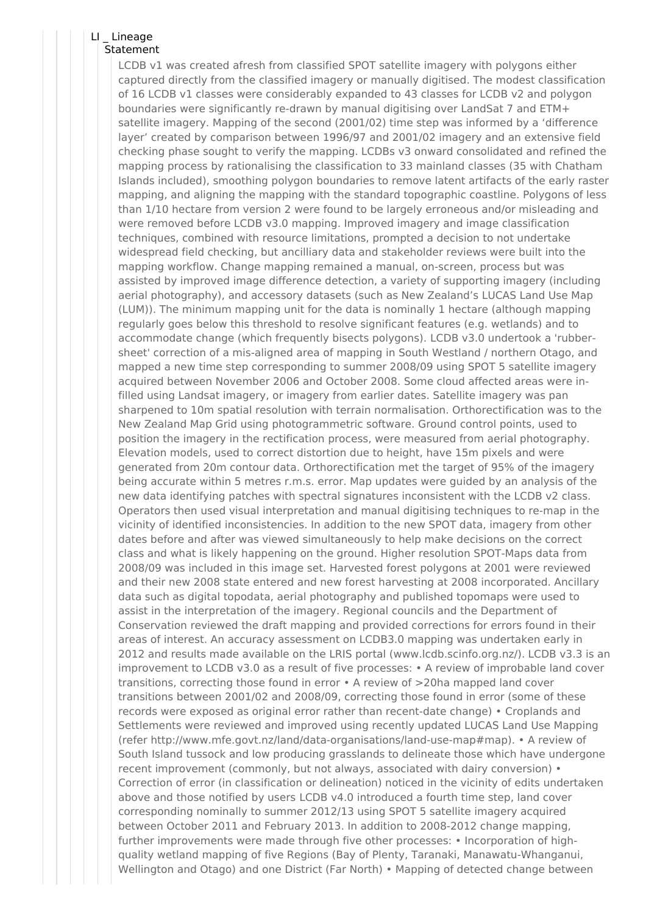## LI \_ Lineage

## **Statement**

LCDB v1 was created afresh from classified SPOT satellite imagery with polygons either captured directly from the classified imagery or manually digitised. The modest classification of 16 LCDB v1 classes were considerably expanded to 43 classes for LCDB v2 and polygon boundaries were significantly re-drawn by manual digitising over LandSat 7 and ETM+ satellite imagery. Mapping of the second (2001/02) time step was informed by a 'difference layer' created by comparison between 1996/97 and 2001/02 imagery and an extensive field checking phase sought to verify the mapping. LCDBs v3 onward consolidated and refined the mapping process by rationalising the classification to 33 mainland classes (35 with Chatham Islands included), smoothing polygon boundaries to remove latent artifacts of the early raster mapping, and aligning the mapping with the standard topographic coastline. Polygons of less than 1/10 hectare from version 2 were found to be largely erroneous and/or misleading and were removed before LCDB v3.0 mapping. Improved imagery and image classification techniques, combined with resource limitations, prompted a decision to not undertake widespread field checking, but ancilliary data and stakeholder reviews were built into the mapping workflow. Change mapping remained a manual, on-screen, process but was assisted by improved image difference detection, a variety of supporting imagery (including aerial photography), and accessory datasets (such as New Zealand's LUCAS Land Use Map (LUM)). The minimum mapping unit for the data is nominally 1 hectare (although mapping regularly goes below this threshold to resolve significant features (e.g. wetlands) and to accommodate change (which frequently bisects polygons). LCDB v3.0 undertook a 'rubbersheet' correction of a mis-aligned area of mapping in South Westland / northern Otago, and mapped a new time step corresponding to summer 2008/09 using SPOT 5 satellite imagery acquired between November 2006 and October 2008. Some cloud affected areas were infilled using Landsat imagery, or imagery from earlier dates. Satellite imagery was pan sharpened to 10m spatial resolution with terrain normalisation. Orthorectification was to the New Zealand Map Grid using photogrammetric software. Ground control points, used to position the imagery in the rectification process, were measured from aerial photography. Elevation models, used to correct distortion due to height, have 15m pixels and were generated from 20m contour data. Orthorectification met the target of 95% of the imagery being accurate within 5 metres r.m.s. error. Map updates were guided by an analysis of the new data identifying patches with spectral signatures inconsistent with the LCDB v2 class. Operators then used visual interpretation and manual digitising techniques to re-map in the vicinity of identified inconsistencies. In addition to the new SPOT data, imagery from other dates before and after was viewed simultaneously to help make decisions on the correct class and what is likely happening on the ground. Higher resolution SPOT-Maps data from 2008/09 was included in this image set. Harvested forest polygons at 2001 were reviewed and their new 2008 state entered and new forest harvesting at 2008 incorporated. Ancillary data such as digital topodata, aerial photography and published topomaps were used to assist in the interpretation of the imagery. Regional councils and the Department of Conservation reviewed the draft mapping and provided corrections for errors found in their areas of interest. An accuracy assessment on LCDB3.0 mapping was undertaken early in 2012 and results made available on the LRIS portal (www.lcdb.scinfo.org.nz/). LCDB v3.3 is an improvement to LCDB v3.0 as a result of five processes: • A review of improbable land cover transitions, correcting those found in error • A review of >20ha mapped land cover transitions between 2001/02 and 2008/09, correcting those found in error (some of these records were exposed as original error rather than recent-date change) • Croplands and Settlements were reviewed and improved using recently updated LUCAS Land Use Mapping (refer http://www.mfe.govt.nz/land/data-organisations/land-use-map#map). • A review of South Island tussock and low producing grasslands to delineate those which have undergone recent improvement (commonly, but not always, associated with dairy conversion) • Correction of error (in classification or delineation) noticed in the vicinity of edits undertaken above and those notified by users LCDB v4.0 introduced a fourth time step, land cover corresponding nominally to summer 2012/13 using SPOT 5 satellite imagery acquired between October 2011 and February 2013. In addition to 2008-2012 change mapping, further improvements were made through five other processes: • Incorporation of highquality wetland mapping of five Regions (Bay of Plenty, Taranaki, Manawatu-Whanganui, Wellington and Otago) and one District (Far North) • Mapping of detected change between